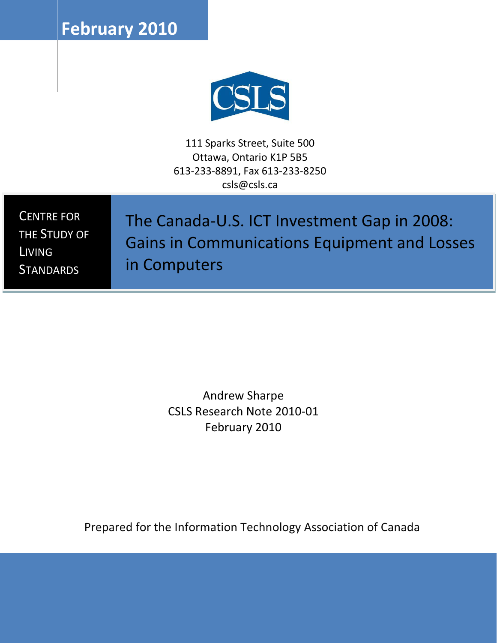**February 2010**



111 Sparks Street, Suite 500 Ottawa, Ontario K1P 5B5 613-233-8891, Fax 613-233-8250 csls@csls.ca

CENTRE FOR THE STUDY OF LIVING **STANDARDS** 

The Canada-U.S. ICT Investment Gap in 2008: Gains in Communications Equipment and Losses in Computers

> Andrew Sharpe CSLS Research Note 2010-01 February 2010

Prepared for the Information Technology Association of Canada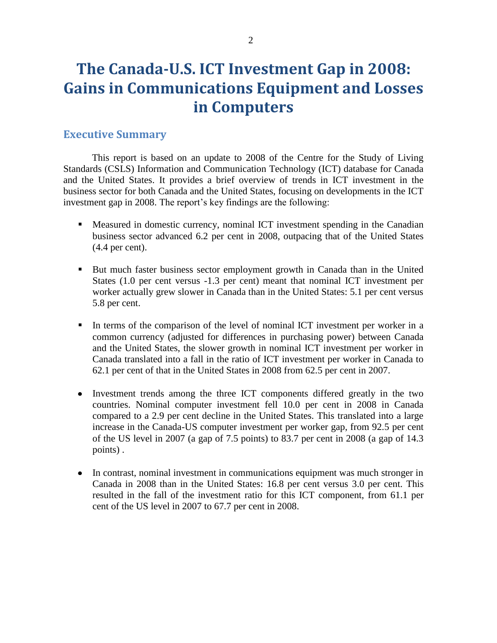# **The Canada-U.S. ICT Investment Gap in 2008: Gains in Communications Equipment and Losses in Computers**

## **Executive Summary**

This report is based on an update to 2008 of the Centre for the Study of Living Standards (CSLS) Information and Communication Technology (ICT) database for Canada and the United States. It provides a brief overview of trends in ICT investment in the business sector for both Canada and the United States, focusing on developments in the ICT investment gap in 2008. The report's key findings are the following:

- Measured in domestic currency, nominal ICT investment spending in the Canadian business sector advanced 6.2 per cent in 2008, outpacing that of the United States (4.4 per cent).
- But much faster business sector employment growth in Canada than in the United States (1.0 per cent versus -1.3 per cent) meant that nominal ICT investment per worker actually grew slower in Canada than in the United States: 5.1 per cent versus 5.8 per cent.
- In terms of the comparison of the level of nominal ICT investment per worker in a common currency (adjusted for differences in purchasing power) between Canada and the United States, the slower growth in nominal ICT investment per worker in Canada translated into a fall in the ratio of ICT investment per worker in Canada to 62.1 per cent of that in the United States in 2008 from 62.5 per cent in 2007.
- Investment trends among the three ICT components differed greatly in the two  $\bullet$ countries. Nominal computer investment fell 10.0 per cent in 2008 in Canada compared to a 2.9 per cent decline in the United States. This translated into a large increase in the Canada-US computer investment per worker gap, from 92.5 per cent of the US level in 2007 (a gap of 7.5 points) to 83.7 per cent in 2008 (a gap of 14.3 points) .
- In contrast, nominal investment in communications equipment was much stronger in Canada in 2008 than in the United States: 16.8 per cent versus 3.0 per cent. This resulted in the fall of the investment ratio for this ICT component, from 61.1 per cent of the US level in 2007 to 67.7 per cent in 2008.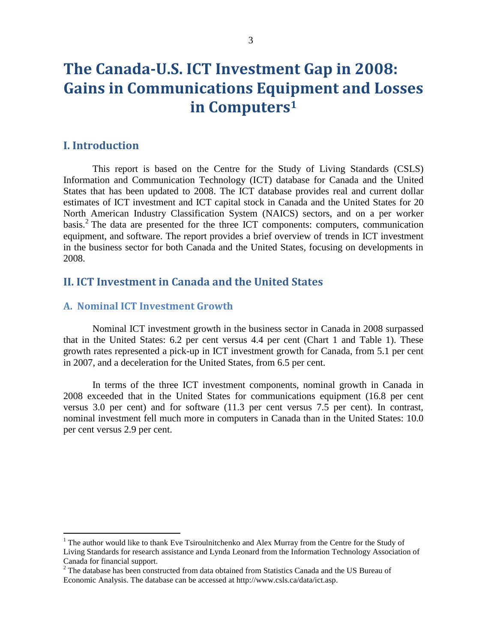# **The Canada-U.S. ICT Investment Gap in 2008: Gains in Communications Equipment and Losses in Computers<sup>1</sup>**

## **I. Introduction**

 $\overline{a}$ 

This report is based on the Centre for the Study of Living Standards (CSLS) Information and Communication Technology (ICT) database for Canada and the United States that has been updated to 2008. The ICT database provides real and current dollar estimates of ICT investment and ICT capital stock in Canada and the United States for 20 North American Industry Classification System (NAICS) sectors, and on a per worker basis.<sup>2</sup> The data are presented for the three ICT components: computers, communication equipment, and software. The report provides a brief overview of trends in ICT investment in the business sector for both Canada and the United States, focusing on developments in 2008.

# **II. ICT Investment in Canada and the United States**

### **A. Nominal ICT Investment Growth**

Nominal ICT investment growth in the business sector in Canada in 2008 surpassed that in the United States: 6.2 per cent versus 4.4 per cent (Chart 1 and Table 1). These growth rates represented a pick-up in ICT investment growth for Canada, from 5.1 per cent in 2007, and a deceleration for the United States, from 6.5 per cent.

In terms of the three ICT investment components, nominal growth in Canada in 2008 exceeded that in the United States for communications equipment (16.8 per cent versus 3.0 per cent) and for software (11.3 per cent versus 7.5 per cent). In contrast, nominal investment fell much more in computers in Canada than in the United States: 10.0 per cent versus 2.9 per cent.

<sup>&</sup>lt;sup>1</sup> The author would like to thank Eve Tsiroulnitchenko and Alex Murray from the Centre for the Study of Living Standards for research assistance and Lynda Leonard from the Information Technology Association of Canada for financial support.

<sup>&</sup>lt;sup>2</sup> The database has been constructed from data obtained from Statistics Canada and the US Bureau of Economic Analysis. The database can be accessed at http://www.csls.ca/data/ict.asp.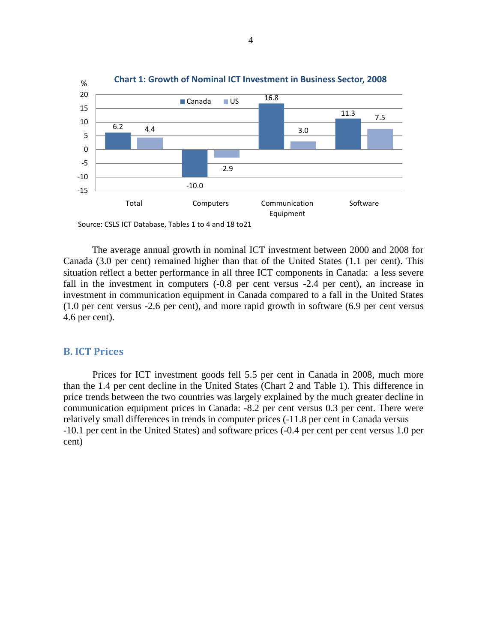

Source: CSLS ICT Database, Tables 1 to 4 and 18 to21

The average annual growth in nominal ICT investment between 2000 and 2008 for Canada (3.0 per cent) remained higher than that of the United States (1.1 per cent). This situation reflect a better performance in all three ICT components in Canada: a less severe fall in the investment in computers  $(-0.8$  per cent versus  $-2.4$  per cent), an increase in investment in communication equipment in Canada compared to a fall in the United States (1.0 per cent versus -2.6 per cent), and more rapid growth in software (6.9 per cent versus 4.6 per cent).

#### **B. ICT Prices**

Prices for ICT investment goods fell 5.5 per cent in Canada in 2008, much more than the 1.4 per cent decline in the United States (Chart 2 and Table 1). This difference in price trends between the two countries was largely explained by the much greater decline in communication equipment prices in Canada: -8.2 per cent versus 0.3 per cent. There were relatively small differences in trends in computer prices (-11.8 per cent in Canada versus -10.1 per cent in the United States) and software prices (-0.4 per cent per cent versus 1.0 per cent)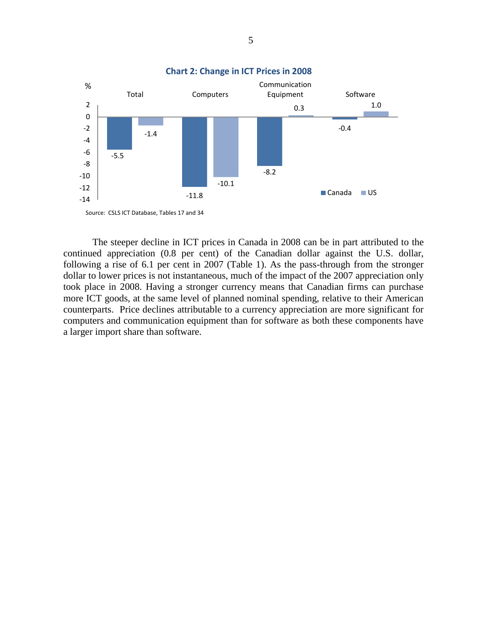

The steeper decline in ICT prices in Canada in 2008 can be in part attributed to the continued appreciation (0.8 per cent) of the Canadian dollar against the U.S. dollar, following a rise of 6.1 per cent in 2007 (Table 1). As the pass-through from the stronger dollar to lower prices is not instantaneous, much of the impact of the 2007 appreciation only took place in 2008. Having a stronger currency means that Canadian firms can purchase more ICT goods, at the same level of planned nominal spending, relative to their American counterparts. Price declines attributable to a currency appreciation are more significant for computers and communication equipment than for software as both these components have a larger import share than software.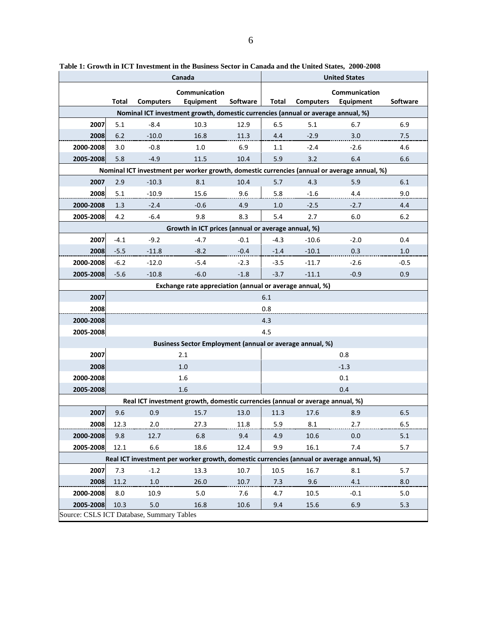|                                                                                             | Canada<br><b>United States</b> |                  |                                                                                  |                 |        |                  |           |                 |  |  |
|---------------------------------------------------------------------------------------------|--------------------------------|------------------|----------------------------------------------------------------------------------|-----------------|--------|------------------|-----------|-----------------|--|--|
|                                                                                             | Communication<br>Communication |                  |                                                                                  |                 |        |                  |           |                 |  |  |
|                                                                                             | Total                          | <b>Computers</b> | Equipment                                                                        | <b>Software</b> | Total  | <b>Computers</b> | Equipment | <b>Software</b> |  |  |
|                                                                                             |                                |                  | Nominal ICT investment growth, domestic currencies (annual or average annual, %) |                 |        |                  |           |                 |  |  |
| 2007                                                                                        | 5.1                            | $-8.4$           | 10.3                                                                             | 12.9            | 6.5    | 5.1              | 6.7       | 6.9             |  |  |
| 2008                                                                                        | 6.2                            | $-10.0$          | 16.8                                                                             | 11.3            | 4.4    | $-2.9$           | 3.0       | 7.5             |  |  |
| 2000-2008                                                                                   | 3.0                            | $-0.8$           | 1.0                                                                              | 6.9             | 1.1    | $-2.4$           | $-2.6$    | 4.6             |  |  |
| 2005-2008                                                                                   | 5.8                            | $-4.9$           | 11.5                                                                             | 10.4            | 5.9    | 3.2              | 6.4       | 6.6             |  |  |
| Nominal ICT investment per worker growth, domestic currencies (annual or average annual, %) |                                |                  |                                                                                  |                 |        |                  |           |                 |  |  |
| 2007                                                                                        | 2.9                            | $-10.3$          | 8.1                                                                              | 10.4            | 5.7    | 4.3              | 5.9       | 6.1             |  |  |
| 2008                                                                                        | 5.1                            | $-10.9$          | 15.6                                                                             | 9.6             | 5.8    | $-1.6$           | 4.4       | 9.0             |  |  |
| 2000-2008                                                                                   | 1.3                            | $-2.4$           | $-0.6$                                                                           | 4.9             | 1.0    | $-2.5$           | $-2.7$    | 4.4             |  |  |
| 2005-2008                                                                                   | 4.2                            | $-6.4$           | 9.8                                                                              | 8.3             | 5.4    | 2.7              | 6.0       | 6.2             |  |  |
|                                                                                             |                                |                  | Growth in ICT prices (annual or average annual, %)                               |                 |        |                  |           |                 |  |  |
| 2007                                                                                        | $-4.1$                         | $-9.2$           | $-4.7$                                                                           | $-0.1$          | $-4.3$ | $-10.6$          | $-2.0$    | 0.4             |  |  |
| 2008                                                                                        | $-5.5$                         | $-11.8$          | $-8.2$                                                                           | $-0.4$          | $-1.4$ | $-10.1$          | 0.3       | 1.0             |  |  |
| 2000-2008                                                                                   | $-6.2$                         | $-12.0$          | $-5.4$                                                                           | $-2.3$          | $-3.5$ | $-11.7$          | $-2.6$    | $-0.5$          |  |  |
| 2005-2008                                                                                   | $-5.6$                         | $-10.8$          | $-6.0$                                                                           | $-1.8$          | $-3.7$ | $-11.1$          | $-0.9$    | 0.9             |  |  |
| Exchange rate appreciation (annual or average annual, %)                                    |                                |                  |                                                                                  |                 |        |                  |           |                 |  |  |
| 2007<br>6.1                                                                                 |                                |                  |                                                                                  |                 |        |                  |           |                 |  |  |
| 2008                                                                                        | 0.8                            |                  |                                                                                  |                 |        |                  |           |                 |  |  |
| 2000-2008                                                                                   | 4.3                            |                  |                                                                                  |                 |        |                  |           |                 |  |  |
| 2005-2008                                                                                   | 4.5                            |                  |                                                                                  |                 |        |                  |           |                 |  |  |
| Business Sector Employment (annual or average annual, %)                                    |                                |                  |                                                                                  |                 |        |                  |           |                 |  |  |
| 2007                                                                                        | 2.1<br>0.8                     |                  |                                                                                  |                 |        |                  |           |                 |  |  |
| 2008                                                                                        |                                |                  | 1.0                                                                              |                 |        |                  | $-1.3$    |                 |  |  |
| 2000-2008                                                                                   |                                |                  | 1.6                                                                              |                 |        |                  | 0.1       |                 |  |  |
| 2005-2008                                                                                   |                                |                  | 1.6                                                                              |                 |        |                  | 0.4       |                 |  |  |
| Real ICT investment growth, domestic currencies (annual or average annual, %)               |                                |                  |                                                                                  |                 |        |                  |           |                 |  |  |
| 2007                                                                                        | 9.6                            | 0.9              | 15.7                                                                             | 13.0            | 11.3   | 17.6             | 8.9       | 6.5             |  |  |
| 2008                                                                                        | 12.3                           | 2.0              | 27.3                                                                             | 11.8            | 5.9    | 8.1              | 2.7       | 6.5             |  |  |
| 2000-2008                                                                                   | 9.8                            | 12.7             | 6.8                                                                              | 9.4             | 4.9    | 10.6             | 0.0       | 5.1             |  |  |
| 2005-2008                                                                                   | 12.1                           | 6.6              | 18.6                                                                             | 12.4            | 9.9    | 16.1             | 7.4       | 5.7             |  |  |
| Real ICT investment per worker growth, domestic currencies (annual or average annual, %)    |                                |                  |                                                                                  |                 |        |                  |           |                 |  |  |
| 2007                                                                                        | 7.3                            | $-1.2$           | 13.3                                                                             | 10.7            | 10.5   | 16.7             | 8.1       | 5.7             |  |  |
| 2008                                                                                        | 11.2                           | $1.0\,$          | 26.0                                                                             | 10.7            | 7.3    | 9.6              | 4.1       | 8.0             |  |  |
| 2000-2008                                                                                   | 8.0                            | 10.9             | 5.0                                                                              | 7.6             | 4.7    | 10.5             | $-0.1$    | 5.0             |  |  |
| 2005-2008                                                                                   | 10.3                           | 5.0              | 16.8                                                                             | 10.6            | 9.4    | 15.6             | 6.9       | 5.3             |  |  |
| Source: CSLS ICT Database, Summary Tables                                                   |                                |                  |                                                                                  |                 |        |                  |           |                 |  |  |

| Table 1: Growth in ICT Investment in the Business Sector in Canada and the United States, 2000-2008 |  |  |  |  |  |  |  |  |  |  |  |
|-----------------------------------------------------------------------------------------------------|--|--|--|--|--|--|--|--|--|--|--|
|-----------------------------------------------------------------------------------------------------|--|--|--|--|--|--|--|--|--|--|--|

 $\mathbf{r}$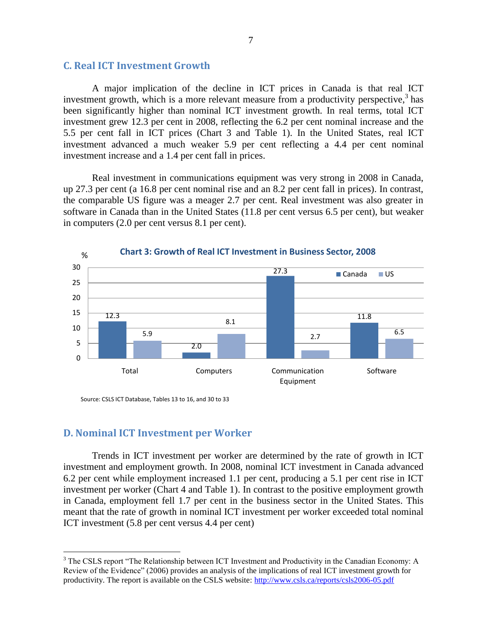#### **C. Real ICT Investment Growth**

A major implication of the decline in ICT prices in Canada is that real ICT investment growth, which is a more relevant measure from a productivity perspective,<sup>3</sup> has been significantly higher than nominal ICT investment growth. In real terms, total ICT investment grew 12.3 per cent in 2008, reflecting the 6.2 per cent nominal increase and the 5.5 per cent fall in ICT prices (Chart 3 and Table 1). In the United States, real ICT investment advanced a much weaker 5.9 per cent reflecting a 4.4 per cent nominal investment increase and a 1.4 per cent fall in prices.

Real investment in communications equipment was very strong in 2008 in Canada, up 27.3 per cent (a 16.8 per cent nominal rise and an 8.2 per cent fall in prices). In contrast, the comparable US figure was a meager 2.7 per cent. Real investment was also greater in software in Canada than in the United States (11.8 per cent versus 6.5 per cent), but weaker in computers (2.0 per cent versus 8.1 per cent).



Source: CSLS ICT Database, Tables 13 to 16, and 30 to 33

#### **D. Nominal ICT Investment per Worker**

 $\overline{a}$ 

Trends in ICT investment per worker are determined by the rate of growth in ICT investment and employment growth. In 2008, nominal ICT investment in Canada advanced 6.2 per cent while employment increased 1.1 per cent, producing a 5.1 per cent rise in ICT investment per worker (Chart 4 and Table 1). In contrast to the positive employment growth in Canada, employment fell 1.7 per cent in the business sector in the United States. This meant that the rate of growth in nominal ICT investment per worker exceeded total nominal ICT investment (5.8 per cent versus 4.4 per cent)

<sup>&</sup>lt;sup>3</sup> The CSLS report "The Relationship between ICT Investment and Productivity in the Canadian Economy: A Review of the Evidence" (2006) provides an analysis of the implications of real ICT investment growth for productivity. The report is available on the CSLS website:<http://www.csls.ca/reports/csls2006-05.pdf>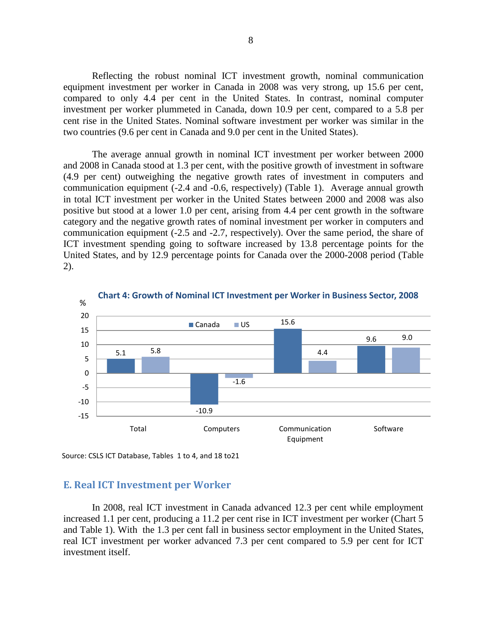Reflecting the robust nominal ICT investment growth, nominal communication equipment investment per worker in Canada in 2008 was very strong, up 15.6 per cent, compared to only 4.4 per cent in the United States. In contrast, nominal computer investment per worker plummeted in Canada, down 10.9 per cent, compared to a 5.8 per cent rise in the United States. Nominal software investment per worker was similar in the two countries (9.6 per cent in Canada and 9.0 per cent in the United States).

The average annual growth in nominal ICT investment per worker between 2000 and 2008 in Canada stood at 1.3 per cent, with the positive growth of investment in software (4.9 per cent) outweighing the negative growth rates of investment in computers and communication equipment (-2.4 and -0.6, respectively) (Table 1). Average annual growth in total ICT investment per worker in the United States between 2000 and 2008 was also positive but stood at a lower 1.0 per cent, arising from 4.4 per cent growth in the software category and the negative growth rates of nominal investment per worker in computers and communication equipment (-2.5 and -2.7, respectively). Over the same period, the share of ICT investment spending going to software increased by 13.8 percentage points for the United States, and by 12.9 percentage points for Canada over the 2000-2008 period (Table 2).



Source: CSLS ICT Database, Tables 1 to 4, and 18 to21

#### **E. Real ICT Investment per Worker**

In 2008, real ICT investment in Canada advanced 12.3 per cent while employment increased 1.1 per cent, producing a 11.2 per cent rise in ICT investment per worker (Chart 5 and Table 1). With the 1.3 per cent fall in business sector employment in the United States, real ICT investment per worker advanced 7.3 per cent compared to 5.9 per cent for ICT investment itself.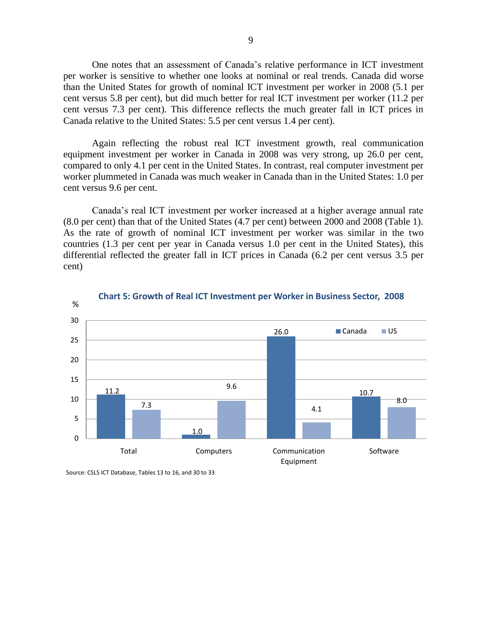One notes that an assessment of Canada's relative performance in ICT investment per worker is sensitive to whether one looks at nominal or real trends. Canada did worse than the United States for growth of nominal ICT investment per worker in 2008 (5.1 per cent versus 5.8 per cent), but did much better for real ICT investment per worker (11.2 per cent versus 7.3 per cent). This difference reflects the much greater fall in ICT prices in Canada relative to the United States: 5.5 per cent versus 1.4 per cent).

Again reflecting the robust real ICT investment growth, real communication equipment investment per worker in Canada in 2008 was very strong, up 26.0 per cent, compared to only 4.1 per cent in the United States. In contrast, real computer investment per worker plummeted in Canada was much weaker in Canada than in the United States: 1.0 per cent versus 9.6 per cent.

Canada's real ICT investment per worker increased at a higher average annual rate (8.0 per cent) than that of the United States (4.7 per cent) between 2000 and 2008 (Table 1). As the rate of growth of nominal ICT investment per worker was similar in the two countries (1.3 per cent per year in Canada versus 1.0 per cent in the United States), this differential reflected the greater fall in ICT prices in Canada (6.2 per cent versus 3.5 per cent)



Source: CSLS ICT Database, Tables 13 to 16, and 30 to 33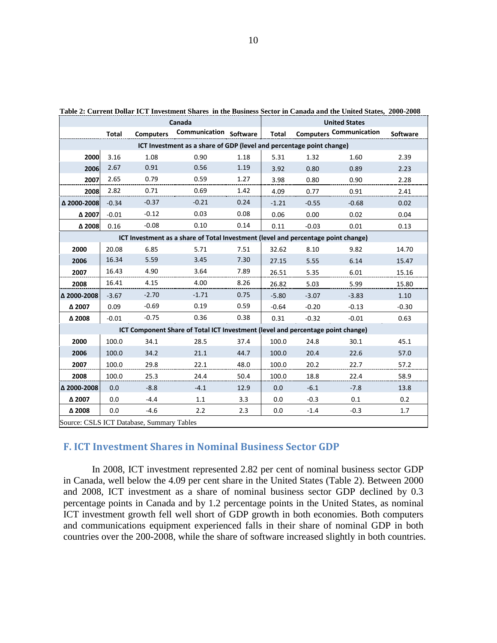| Table 2: Current Dollar ICT Investment Shares in the Business Sector in Canada and the United States, 2000-2008<br>Canada |         |                  |                                                                                   |      |              | <b>United States</b> |                                |                 |  |  |
|---------------------------------------------------------------------------------------------------------------------------|---------|------------------|-----------------------------------------------------------------------------------|------|--------------|----------------------|--------------------------------|-----------------|--|--|
|                                                                                                                           | Total   | <b>Computers</b> | <b>Communication Software</b>                                                     |      | <b>Total</b> |                      | <b>Computers Communication</b> | <b>Software</b> |  |  |
| ICT Investment as a share of GDP (level and percentage point change)                                                      |         |                  |                                                                                   |      |              |                      |                                |                 |  |  |
| 2000                                                                                                                      | 3.16    | 1.08             | 0.90                                                                              | 1.18 | 5.31         | 1.32                 | 1.60                           | 2.39            |  |  |
| 2006                                                                                                                      | 2.67    | 0.91             | 0.56                                                                              | 1.19 | 3.92         | 0.80                 | 0.89                           | 2.23            |  |  |
| 2007                                                                                                                      | 2.65    | 0.79             | 0.59                                                                              | 1.27 | 3.98         | 0.80                 | 0.90                           | 2.28            |  |  |
| 2008                                                                                                                      | 2.82    | 0.71             | 0.69                                                                              | 1.42 | 4.09         | 0.77                 | 0.91                           | 2.41            |  |  |
| △ 2000-2008                                                                                                               | $-0.34$ | $-0.37$          | $-0.21$                                                                           | 0.24 | $-1.21$      | $-0.55$              | $-0.68$                        | 0.02            |  |  |
| Δ 2007                                                                                                                    | $-0.01$ | $-0.12$          | 0.03                                                                              | 0.08 | 0.06         | 0.00                 | 0.02                           | 0.04            |  |  |
| Δ 2008                                                                                                                    | 0.16    | $-0.08$          | 0.10                                                                              | 0.14 | 0.11         | $-0.03$              | 0.01                           | 0.13            |  |  |
|                                                                                                                           |         |                  | ICT Investment as a share of Total Investment (level and percentage point change) |      |              |                      |                                |                 |  |  |
| 2000                                                                                                                      | 20.08   | 6.85             | 5.71                                                                              | 7.51 | 32.62        | 8.10                 | 9.82                           | 14.70           |  |  |
| 2006                                                                                                                      | 16.34   | 5.59             | 3.45                                                                              | 7.30 | 27.15        | 5.55                 | 6.14                           | 15.47           |  |  |
| 2007                                                                                                                      | 16.43   | 4.90             | 3.64                                                                              | 7.89 | 26.51        | 5.35                 | 6.01                           | 15.16           |  |  |
| 2008                                                                                                                      | 16.41   | 4.15             | 4.00                                                                              | 8.26 | 26.82        | 5.03                 | 5.99                           | 15.80           |  |  |
| △ 2000-2008                                                                                                               | $-3.67$ | $-2.70$          | $-1.71$                                                                           | 0.75 | $-5.80$      | $-3.07$              | $-3.83$                        | 1.10            |  |  |
| Δ 2007                                                                                                                    | 0.09    | $-0.69$          | 0.19                                                                              | 0.59 | $-0.64$      | $-0.20$              | $-0.13$                        | $-0.30$         |  |  |
| Δ 2008                                                                                                                    | $-0.01$ | $-0.75$          | 0.36                                                                              | 0.38 | 0.31         | $-0.32$              | $-0.01$                        | 0.63            |  |  |
|                                                                                                                           |         |                  | ICT Component Share of Total ICT Investment (level and percentage point change)   |      |              |                      |                                |                 |  |  |
| 2000                                                                                                                      | 100.0   | 34.1             | 28.5                                                                              | 37.4 | 100.0        | 24.8                 | 30.1                           | 45.1            |  |  |
| 2006                                                                                                                      | 100.0   | 34.2             | 21.1                                                                              | 44.7 | 100.0        | 20.4                 | 22.6                           | 57.0            |  |  |
| 2007                                                                                                                      | 100.0   | 29.8             | 22.1                                                                              | 48.0 | 100.0        | 20.2                 | 22.7                           | 57.2            |  |  |
| 2008                                                                                                                      | 100.0   | 25.3             | 24.4                                                                              | 50.4 | 100.0        | 18.8                 | 22.4                           | 58.9            |  |  |
| △ 2000-2008                                                                                                               | 0.0     | $-8.8$           | $-4.1$                                                                            | 12.9 | 0.0          | $-6.1$               | $-7.8$                         | 13.8            |  |  |
| Δ 2007                                                                                                                    | 0.0     | $-4.4$           | 1.1                                                                               | 3.3  | 0.0          | $-0.3$               | 0.1                            | 0.2             |  |  |
| Δ 2008                                                                                                                    | 0.0     | $-4.6$           | 2.2                                                                               | 2.3  | 0.0          | $-1.4$               | $-0.3$                         | 1.7             |  |  |
| Source: CSLS ICT Database, Summary Tables                                                                                 |         |                  |                                                                                   |      |              |                      |                                |                 |  |  |

**Table 2: Current Dollar ICT Investment Shares in the Business Sector in Canada and the United States, 2000-2008**

#### **F. ICT Investment Shares in Nominal Business Sector GDP**

In 2008, ICT investment represented 2.82 per cent of nominal business sector GDP in Canada, well below the 4.09 per cent share in the United States (Table 2). Between 2000 and 2008, ICT investment as a share of nominal business sector GDP declined by 0.3 percentage points in Canada and by 1.2 percentage points in the United States, as nominal ICT investment growth fell well short of GDP growth in both economies. Both computers and communications equipment experienced falls in their share of nominal GDP in both countries over the 200-2008, while the share of software increased slightly in both countries.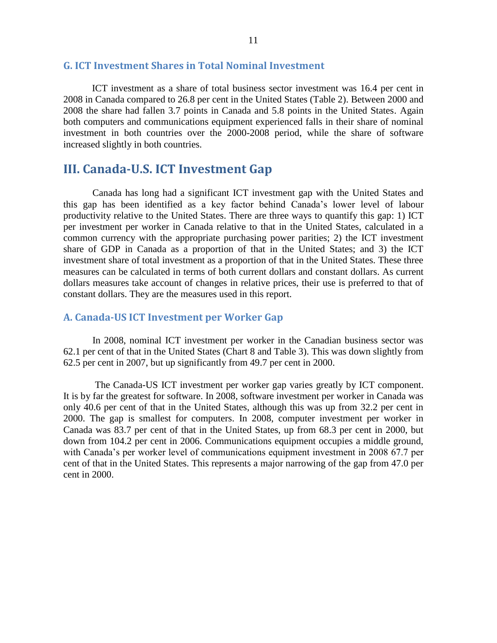#### **G. ICT Investment Shares in Total Nominal Investment**

ICT investment as a share of total business sector investment was 16.4 per cent in 2008 in Canada compared to 26.8 per cent in the United States (Table 2). Between 2000 and 2008 the share had fallen 3.7 points in Canada and 5.8 points in the United States. Again both computers and communications equipment experienced falls in their share of nominal investment in both countries over the 2000-2008 period, while the share of software increased slightly in both countries.

## **III. Canada-U.S. ICT Investment Gap**

Canada has long had a significant ICT investment gap with the United States and this gap has been identified as a key factor behind Canada's lower level of labour productivity relative to the United States. There are three ways to quantify this gap: 1) ICT per investment per worker in Canada relative to that in the United States, calculated in a common currency with the appropriate purchasing power parities; 2) the ICT investment share of GDP in Canada as a proportion of that in the United States; and 3) the ICT investment share of total investment as a proportion of that in the United States. These three measures can be calculated in terms of both current dollars and constant dollars. As current dollars measures take account of changes in relative prices, their use is preferred to that of constant dollars. They are the measures used in this report.

#### **A. Canada-US ICT Investment per Worker Gap**

In 2008, nominal ICT investment per worker in the Canadian business sector was 62.1 per cent of that in the United States (Chart 8 and Table 3). This was down slightly from 62.5 per cent in 2007, but up significantly from 49.7 per cent in 2000.

The Canada-US ICT investment per worker gap varies greatly by ICT component. It is by far the greatest for software. In 2008, software investment per worker in Canada was only 40.6 per cent of that in the United States, although this was up from 32.2 per cent in 2000. The gap is smallest for computers. In 2008, computer investment per worker in Canada was 83.7 per cent of that in the United States, up from 68.3 per cent in 2000, but down from 104.2 per cent in 2006. Communications equipment occupies a middle ground, with Canada's per worker level of communications equipment investment in 2008 67.7 per cent of that in the United States. This represents a major narrowing of the gap from 47.0 per cent in 2000.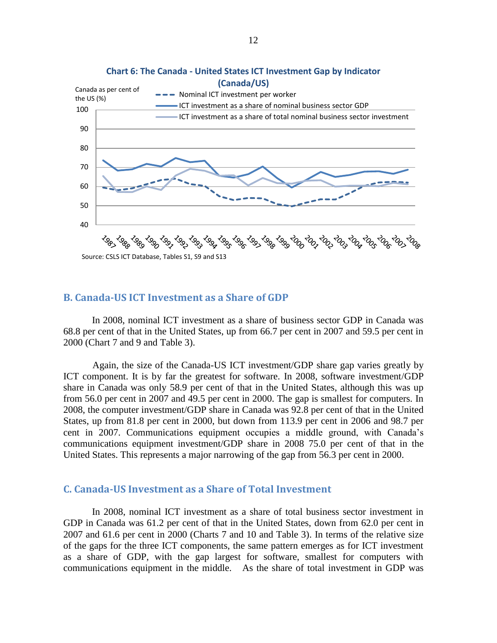

# **Chart 6: The Canada - United States ICT Investment Gap by Indicator**

#### **B. Canada-US ICT Investment as a Share of GDP**

In 2008, nominal ICT investment as a share of business sector GDP in Canada was 68.8 per cent of that in the United States, up from 66.7 per cent in 2007 and 59.5 per cent in 2000 (Chart 7 and 9 and Table 3).

Again, the size of the Canada-US ICT investment/GDP share gap varies greatly by ICT component. It is by far the greatest for software. In 2008, software investment/GDP share in Canada was only 58.9 per cent of that in the United States, although this was up from 56.0 per cent in 2007 and 49.5 per cent in 2000. The gap is smallest for computers. In 2008, the computer investment/GDP share in Canada was 92.8 per cent of that in the United States, up from 81.8 per cent in 2000, but down from 113.9 per cent in 2006 and 98.7 per cent in 2007. Communications equipment occupies a middle ground, with Canada's communications equipment investment/GDP share in 2008 75.0 per cent of that in the United States. This represents a major narrowing of the gap from 56.3 per cent in 2000.

#### **C. Canada-US Investment as a Share of Total Investment**

In 2008, nominal ICT investment as a share of total business sector investment in GDP in Canada was 61.2 per cent of that in the United States, down from 62.0 per cent in 2007 and 61.6 per cent in 2000 (Charts 7 and 10 and Table 3). In terms of the relative size of the gaps for the three ICT components, the same pattern emerges as for ICT investment as a share of GDP, with the gap largest for software, smallest for computers with communications equipment in the middle. As the share of total investment in GDP was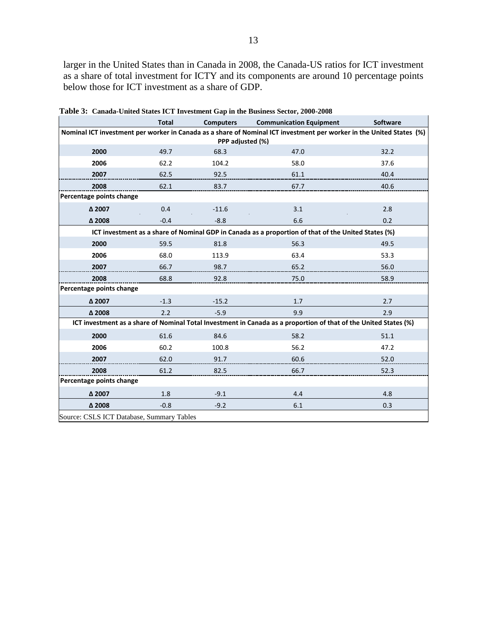larger in the United States than in Canada in 2008, the Canada-US ratios for ICT investment as a share of total investment for ICTY and its components are around 10 percentage points below those for ICT investment as a share of GDP.

|                                           | <b>Total</b> | <b>Computers</b> | <b>Communication Equipment</b>                                                                                       | <b>Software</b> |
|-------------------------------------------|--------------|------------------|----------------------------------------------------------------------------------------------------------------------|-----------------|
|                                           |              | PPP adjusted (%) | Nominal ICT investment per worker in Canada as a share of Nominal ICT investment per worker in the United States (%) |                 |
| 2000                                      | 49.7         |                  | 47.0                                                                                                                 | 32.2            |
|                                           |              | 68.3             |                                                                                                                      |                 |
| 2006                                      | 62.2         | 104.2            | 58.0                                                                                                                 | 37.6            |
| 2007                                      | 62.5         | 92.5             | 61.1                                                                                                                 | 40.4            |
| 2008                                      | 62.1         | 83.7             | 67.7                                                                                                                 | 40.6            |
| Percentage points change                  |              |                  |                                                                                                                      |                 |
| Δ 2007                                    | 0.4          | $-11.6$          | 3.1                                                                                                                  | 2.8             |
| $\Delta$ 2008                             | $-0.4$       | $-8.8$           | 6.6                                                                                                                  | 0.2             |
|                                           |              |                  | ICT investment as a share of Nominal GDP in Canada as a proportion of that of the United States (%)                  |                 |
| 2000                                      | 59.5         | 81.8             | 56.3                                                                                                                 | 49.5            |
| 2006                                      | 68.0         | 113.9            | 63.4                                                                                                                 | 53.3            |
| 2007                                      | 66.7         | 98.7             | 65.2                                                                                                                 | 56.0            |
| 2008                                      | 68.8         | 92.8             | 75.0                                                                                                                 | 58.9            |
| Percentage points change                  |              |                  |                                                                                                                      |                 |
| Δ 2007                                    | $-1.3$       | $-15.2$          | 1.7                                                                                                                  | 2.7             |
| Δ 2008                                    | 2.2          | $-5.9$           | 9.9                                                                                                                  | 2.9             |
|                                           |              |                  | ICT investment as a share of Nominal Total Investment in Canada as a proportion of that of the United States (%)     |                 |
| 2000                                      | 61.6         | 84.6             | 58.2                                                                                                                 | 51.1            |
| 2006                                      | 60.2         | 100.8            | 56.2                                                                                                                 | 47.2            |
| 2007                                      | 62.0         | 91.7             | 60.6                                                                                                                 | 52.0            |
| 2008                                      | 61.2         | 82.5             | 66.7                                                                                                                 | 52.3            |
| Percentage points change                  |              |                  |                                                                                                                      |                 |
| Δ 2007                                    | 1.8          | $-9.1$           | 4.4                                                                                                                  | 4.8             |
| $\Delta$ 2008                             | $-0.8$       | $-9.2$           | 6.1                                                                                                                  | 0.3             |
| Source: CSLS ICT Database, Summary Tables |              |                  |                                                                                                                      |                 |

**Table 3: Canada-United States ICT Investment Gap in the Business Sector, 2000-2008**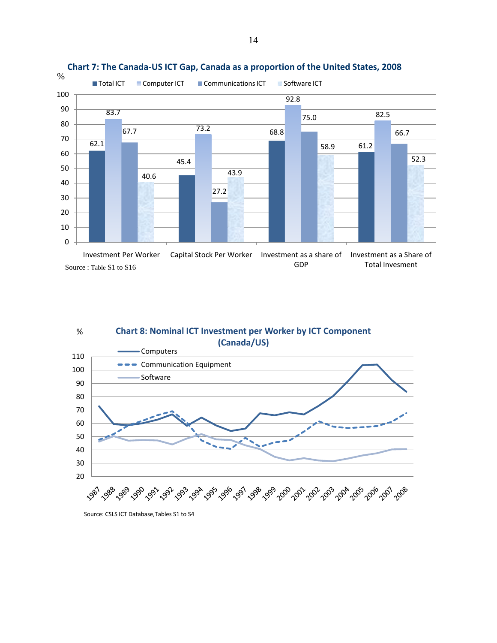

#### **Chart 7: The Canada-US ICT Gap, Canada as a proportion of the United States, 2008**





Source: CSLS ICT Database,Tables S1 to S4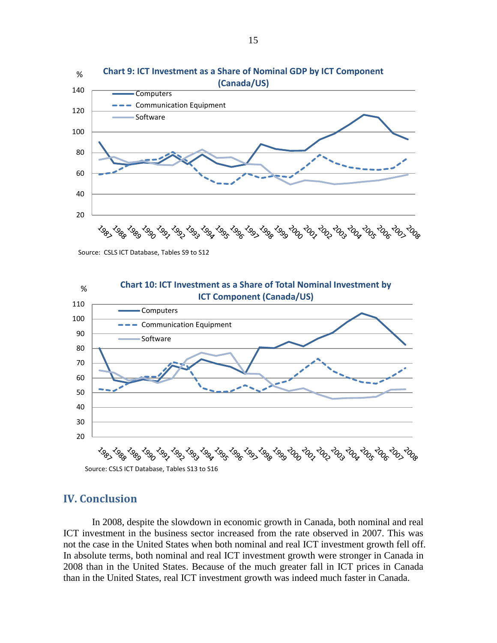

Source: CSLS ICT Database, Tables S9 to S12



### **IV. Conclusion**

In 2008, despite the slowdown in economic growth in Canada, both nominal and real ICT investment in the business sector increased from the rate observed in 2007. This was not the case in the United States when both nominal and real ICT investment growth fell off. In absolute terms, both nominal and real ICT investment growth were stronger in Canada in 2008 than in the United States. Because of the much greater fall in ICT prices in Canada than in the United States, real ICT investment growth was indeed much faster in Canada.